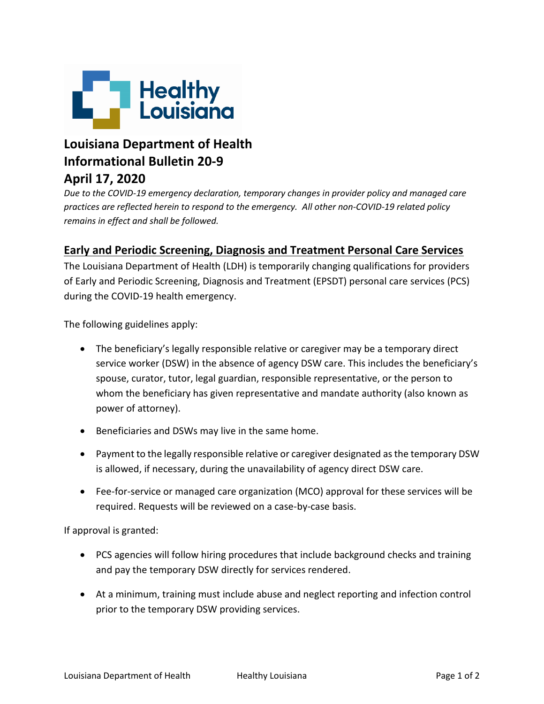

## **Louisiana Department of Health Informational Bulletin 20-9 April 17, 2020**

## *Due to the COVID-19 emergency declaration, temporary changes in provider policy and managed care practices are reflected herein to respond to the emergency. All other non-COVID-19 related policy remains in effect and shall be followed.*

## **Early and Periodic Screening, Diagnosis and Treatment Personal Care Services**

The Louisiana Department of Health (LDH) is temporarily changing qualifications for providers of Early and Periodic Screening, Diagnosis and Treatment (EPSDT) personal care services (PCS) during the COVID-19 health emergency.

The following guidelines apply:

- The beneficiary's legally responsible relative or caregiver may be a temporary direct service worker (DSW) in the absence of agency DSW care. This includes the beneficiary's spouse, curator, tutor, legal guardian, responsible representative, or the person to whom the beneficiary has given representative and mandate authority (also known as power of attorney).
- Beneficiaries and DSWs may live in the same home.
- Payment to the legally responsible relative or caregiver designated as the temporary DSW is allowed, if necessary, during the unavailability of agency direct DSW care.
- Fee-for-service or managed care organization (MCO) approval for these services will be required. Requests will be reviewed on a case-by-case basis.

If approval is granted:

- PCS agencies will follow hiring procedures that include background checks and training and pay the temporary DSW directly for services rendered.
- At a minimum, training must include abuse and neglect reporting and infection control prior to the temporary DSW providing services.